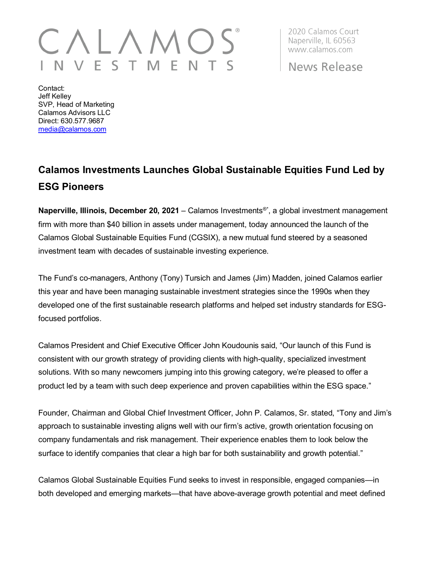## V V E S T M E N

2020 Calamos Court Naperville, IL 60563 www.calamos.com

News Release

Contact: Jeff Kelley SVP, Head of Marketing Calamos Advisors LLC Direct: 630.577.9687 [media@calamos.com](mailto:media@calamos.com)

## **Calamos Investments Launches Global Sustainable Equities Fund Led by ESG Pioneers**

**Naperville, Illinois, December 20, 2021** – Calamos Investments®\* , a global investment management firm with more than \$40 billion in assets under management, today announced the launch of the Calamos Global Sustainable Equities Fund (CGSIX), a new mutual fund steered by a seasoned investment team with decades of sustainable investing experience.

The Fund's co-managers, Anthony (Tony) Tursich and James (Jim) Madden, joined Calamos earlier this year and have been managing sustainable investment strategies since the 1990s when they developed one of the first sustainable research platforms and helped set industry standards for ESGfocused portfolios.

Calamos President and Chief Executive Officer John Koudounis said, "Our launch of this Fund is consistent with our growth strategy of providing clients with high-quality, specialized investment solutions. With so many newcomers jumping into this growing category, we're pleased to offer a product led by a team with such deep experience and proven capabilities within the ESG space."

Founder, Chairman and Global Chief Investment Officer, John P. Calamos, Sr. stated, "Tony and Jim's approach to sustainable investing aligns well with our firm's active, growth orientation focusing on company fundamentals and risk management. Their experience enables them to look below the surface to identify companies that clear a high bar for both sustainability and growth potential."

Calamos Global Sustainable Equities Fund seeks to invest in responsible, engaged companies—in both developed and emerging markets—that have above-average growth potential and meet defined